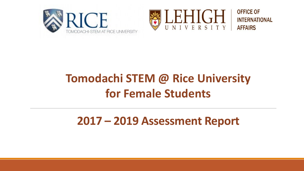





### **Tomodachi STEM @ Rice University for Female Students**

### **2017 – 2019 Assessment Report**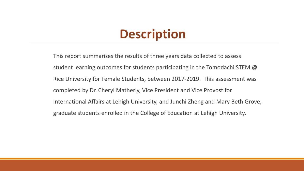### **Description**

This report summarizes the results of three years data collected to assess student learning outcomes for students participating in the Tomodachi STEM @ Rice University for Female Students, between 2017-2019. This assessment was completed by Dr. Cheryl Matherly, Vice President and Vice Provost for International Affairs at Lehigh University, and Junchi Zheng and Mary Beth Grove, graduate students enrolled in the College of Education at Lehigh University.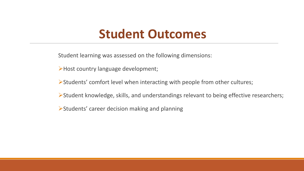### **Student Outcomes**

Student learning was assessed on the following dimensions:

Host country language development;

Students' comfort level when interacting with people from other cultures;

Student knowledge, skills, and understandings relevant to being effective researchers;

Students' career decision making and planning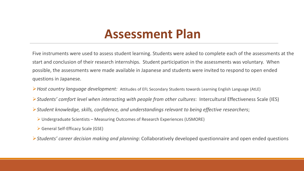### **Assessment Plan**

Five instruments were used to assess student learning. Students were asked to complete each of the assessments at the start and conclusion of their research internships. Student participation in the assessments was voluntary. When possible, the assessments were made available in Japanese and students were invited to respond to open ended questions in Japanese.

- *Host country language development:* Attitudes of EFL Secondary Students towards Learning English Language (AtLE)
- *Students' comfort level when interacting with people from other cultures*: Intercultural Effectiveness Scale (IES)
- *Student knowledge, skills, confidence, and understandings relevant to being effective researchers*;
	- Undergraduate Scientists Measuring Outcomes of Research Experiences (USMORE)
	- General Self-Efficacy Scale (GSE)
- *Students' career decision making and planning*: Collaboratively developed questionnaire and open ended questions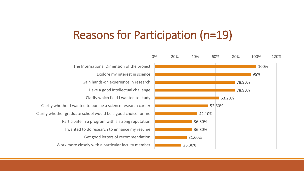### Reasons for Participation (n=19)

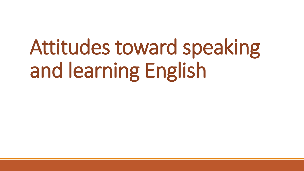# Attitudes toward speaking and learning English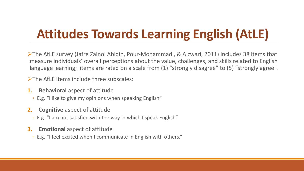## **Attitudes Towards Learning English (AtLE)**

The AtLE survey (Jafre Zainol Abidin, Pour-Mohammadi, & Alzwari, 2011) includes 38 items that measure individuals' overall perceptions about the value, challenges, and skills related to English language learning; items are rated on a scale from (1) "strongly disagree" to (5) "strongly agree".

The AtLE items include three subscales:

- **1. Behavioral** aspect of attitude
	- E.g. "I like to give my opinions when speaking English"
- **2. Cognitive** aspect of attitude
	- E.g. "I am not satisfied with the way in which I speak English"
- **3. Emotional** aspect of attitude
	- E.g. "I feel excited when I communicate in English with others."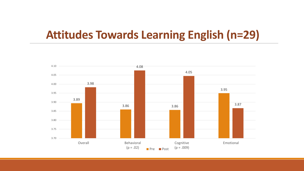### **Attitudes Towards Learning English (n=29)**

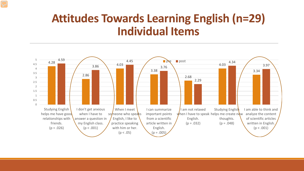### **Attitudes Towards Learning English (n=29) Individual Items**

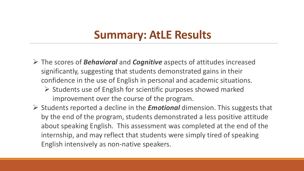### **Summary: AtLE Results**

- The scores of *Behavioral* and *Cognitive* aspects of attitudes increased significantly, suggesting that students demonstrated gains in their confidence in the use of English in personal and academic situations.
	- $\triangleright$  Students use of English for scientific purposes showed marked improvement over the course of the program.
- Students reported a decline in the *Emotional* dimension. This suggests that by the end of the program, students demonstrated a less positive attitude about speaking English. This assessment was completed at the end of the internship, and may reflect that students were simply tired of speaking English intensively as non-native speakers.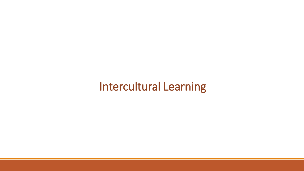### Intercultural Learning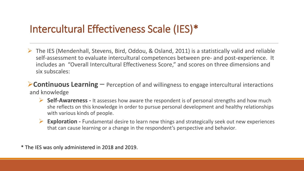### Intercultural Effectiveness Scale (IES)\*

- The IES (Mendenhall, Stevens, Bird, Oddou, & Osland, 2011) is a statistically valid and reliable self-assessment to evaluate intercultural competences between pre- and post-experience. It includes an "Overall Intercultural Effectiveness Score," and scores on three dimensions and six subscales:
- **Continuous Learning** Perception of and willingness to engage intercultural interactions and knowledge
	- **Self-Awareness -** It assesses how aware the respondent is of personal strengths and how much she reflects on this knowledge in order to pursue personal development and healthy relationships with various kinds of people.
	- **Exploration -** Fundamental desire to learn new things and strategically seek out new experiences that can cause learning or a change in the respondent's perspective and behavior.

\* The IES was only administered in 2018 and 2019.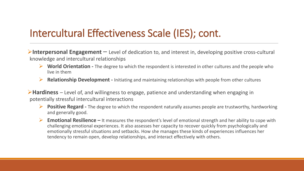### Intercultural Effectiveness Scale (IES); cont.

**Interpersonal Engagement** – Level of dedication to, and interest in, developing positive cross-cultural knowledge and intercultural relationships

- **World Orientation -** The degree to which the respondent is interested in other cultures and the people who live in them
- **Relationship Development -** Initiating and maintaining relationships with people from other cultures

**Hardiness** – Level of, and willingness to engage, patience and understanding when engaging in potentially stressful intercultural interactions

- **Positive Regard -** The degree to which the respondent naturally assumes people are trustworthy, hardworking and generally good.
- **Emotional Resilience –** It measures the respondent's level of emotional strength and her ability to cope with challenging emotional experiences. It also assesses her capacity to recover quickly from psychologically and emotionally stressful situations and setbacks. How she manages these kinds of experiences influences her tendency to remain open, develop relationships, and interact effectively with others.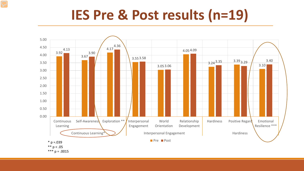# **IES Pre & Post results (n=19)**

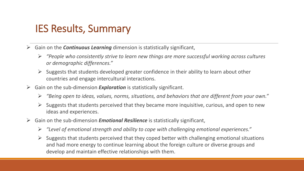#### IES Results, Summary

- Gain on the *Continuous Learning* dimension is statistically significant,
	- *"People who consistently strive to learn new things are more successful working across cultures or demographic differences."*
	- $\triangleright$  Suggests that students developed greater confidence in their ability to learn about other countries and engage intercultural interactions.
- $\triangleright$  Gain on the sub-dimension **Exploration** is statistically significant.
	- *"Being open to ideas, values, norms, situations, and behaviors that are different from your own."*
	- $\triangleright$  Suggests that students perceived that they became more inquisitive, curious, and open to new ideas and experiences.
- Gain on the sub-dimension *Emotional Resilience* is statistically significant,
	- *"Level of emotional strength and ability to cope with challenging emotional experiences."*
	- $\triangleright$  Suggests that students perceived that they coped better with challenging emotional situations and had more energy to continue learning about the foreign culture or diverse groups and develop and maintain effective relationships with them.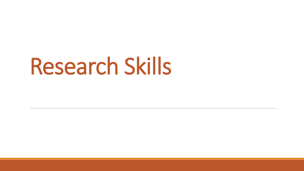# Research Skills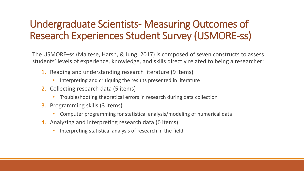### Undergraduate Scientists- Measuring Outcomes of Research Experiences Student Survey (USMORE-ss)

The USMORE–ss (Maltese, Harsh, & Jung, 2017) is composed of seven constructs to assess students' levels of experience, knowledge, and skills directly related to being a researcher:

- 1. Reading and understanding research literature (9 items)
	- Interpreting and critiquing the results presented in literature
- 2. Collecting research data (5 items)
	- Troubleshooting theoretical errors in research during data collection
- 3. Programming skills (3 items)
	- Computer programming for statistical analysis/modeling of numerical data
- 4. Analyzing and interpreting research data (6 items)
	- Interpreting statistical analysis of research in the field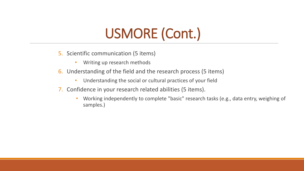# USMORE (Cont.)

- 5. Scientific communication (5 items)
	- Writing up research methods
- 6. Understanding of the field and the research process (5 items)
	- Understanding the social or cultural practices of your field
- 7. Confidence in your research related abilities (5 items).
	- Working independently to complete "basic" research tasks (e.g., data entry, weighing of samples.)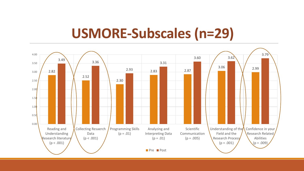### **USMORE-Subscales (n=29)**

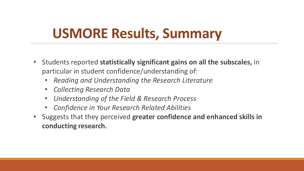# **USMORE Results, Summary**

- Students reported **statistically significant gains on all the subscales,** in particular in student confidence/understanding of:
	- *Reading and Understanding the Research Literature*
	- *Collecting Research Data*
	- *Understanding of the Field & Research Process*
	- *Confidence in Your Research Related Abilities*
- Suggests that they perceived **greater confidence and enhanced skills in conducting research.**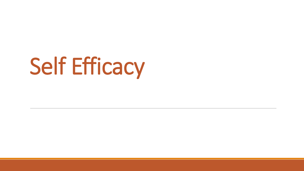# Self Efficacy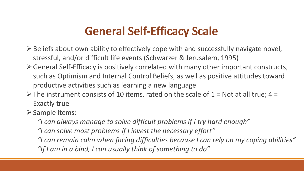### **General Self-Efficacy Scale**

- $\triangleright$  Beliefs about own ability to effectively cope with and successfully navigate novel, stressful, and/or difficult life events (Schwarzer & Jerusalem, 1995)
- General Self-Efficacy is positively correlated with many other important constructs, such as Optimism and Internal Control Beliefs, as well as positive attitudes toward productive activities such as learning a new language
- $\triangleright$  The instrument consists of 10 items, rated on the scale of 1 = Not at all true; 4 = Exactly true
- $\triangleright$  Sample items:
	- *"I can always manage to solve difficult problems if I try hard enough"*
	- *"I can solve most problems if I invest the necessary effort"*
	- *"I can remain calm when facing difficulties because I can rely on my coping abilities" "If I am in a bind, I can usually think of something to do"*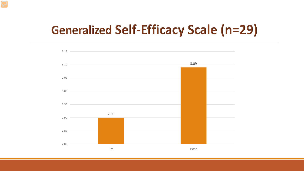### **Generalized Self-Efficacy Scale (n=29)**

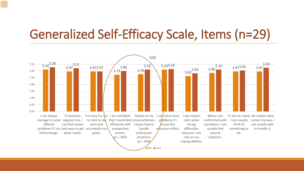### Generalized Self-Efficacy Scale, Items (n=29)

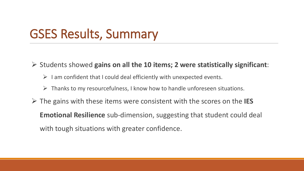### GSES Results, Summary

Students showed **gains on all the 10 items; 2 were statistically significant**:

- $\triangleright$  I am confident that I could deal efficiently with unexpected events.
- $\triangleright$  Thanks to my resourcefulness, I know how to handle unforeseen situations.
- The gains with these items were consistent with the scores on the **IES Emotional Resilience** sub-dimension, suggesting that student could deal with tough situations with greater confidence.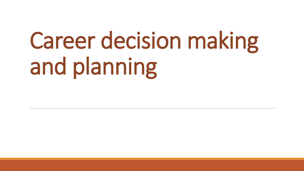# Career decision making and planning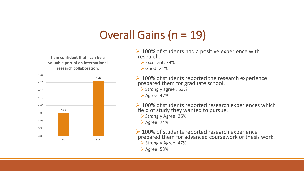### Overall Gains (n = 19)

**I am confident that I can be a valuable part of an international research collaboration.**



- $\geq$  100% of students had a positive experience with research.
	- Excellent: 79%
	- $\blacktriangleright$  Good: 21%
- **► 100% of students reported the research experience** prepared them for graduate school.
	- Strongly agree : 53%
	- Agree: 47%
- $\geq$  100% of students reported research experiences which field of study they wanted to pursue.
	- Strongly Agree: 26%
	- Agree: 74%
- ▶ 100% of students reported research experience prepared them for advanced coursework or thesis work. Strongly Agree: 47%
	- Agree: 53%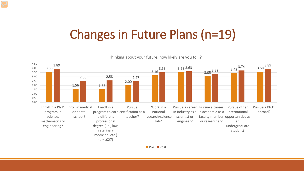### Changes in Future Plans (n=19)

Thinking about your future, how likely are you to…?

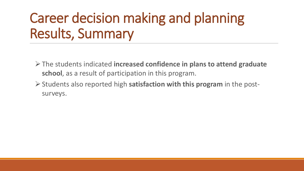# Career decision making and planning Results, Summary

- The students indicated **increased confidence in plans to attend graduate school**, as a result of participation in this program.
- Students also reported high **satisfaction with this program** in the postsurveys.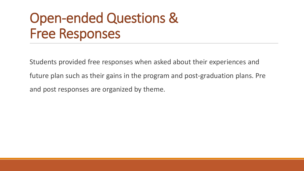# Open-ended Questions & Free Responses

Students provided free responses when asked about their experiences and

future plan such as their gains in the program and post-graduation plans. Pre

and post responses are organized by theme.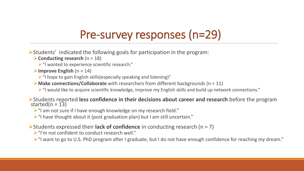### Pre-survey responses (n=29)

 $\triangleright$ Students' indicated the following goals for participation in the program:

**Conducting research** (n = 18)

 $\triangleright$  "I wanted to experience scientific research."

#### **Improve English** (n = 14)

 $\triangleright$  "I hope to gain English skills(especially speaking and listening)"

**Make connections/Collaborate** with researchers from different backgrounds (n = 11)

 $\triangleright$  "I would like to acquire scientific knowledge, improve my English skills and build up network connections."

Students reported **less confidence in their decisions about career and research** before the program started(n = 13)

> "I am not sure if I have enough knowledge on my research field."

 $\triangleright$  "I have thought about it (post graduation plan) but I am still uncertain."

Students expressed their **lack of confidence** in conducting research (n = 7)

> "I'm not confident to conduct research well."

> "I want to go to U.S. PhD program after I graduate, but I do not have enough confidence for reaching my dream."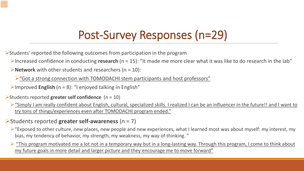### Post-Survey Responses (n=29)

Students' reported the following outcomes from participation in the program

Increased confidence in conducting **research** (n = 15): "It made me more clear what it was like to do research in the lab"

**Network** with other students and researchers (n = 10):

 $\triangleright$  "Got a strong connection with TOMODACHI stem participants and host professors"

Improved **English** (n = 8): "I enjoyed talking in English"

#### Students reported **greater self confidence** (n = 10)

- $\triangleright$  "Simply I am really confident about English, cultural, specialized skills. I realized I can be an influencer in the future!! and I want to try tons of things/experiences even after TOMODACHI program ended."
- Students reported **greater self-awareness** (n = 7)
	- $\triangleright$  "Exposed to other culture, new places, new people and new experiences, what I learned most was about myself: my interest, my bias, my tendency of behavior, my strength, my weakness, my way of thinking. "
	- $\triangleright$  "This program motivated me a lot not in a temporary way but in a long-lasting way. Through this program, I come to think about my future goals in more detail and larger picture and they encourage me to move forward"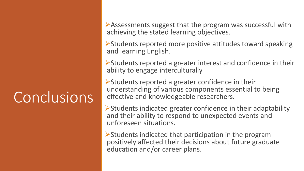# **Conclusions**

Assessments suggest that the program was successful with achieving the stated learning objectives.

Students reported more positive attitudes toward speaking and learning English.

 $\triangleright$  Students reported a greater interest and confidence in their ability to engage interculturally

 $\triangleright$  Students reported a greater confidence in their understanding of various components essential to being effective and knowledgeable researchers.

 $\triangleright$  Students indicated greater confidence in their adaptability and their ability to respond to unexpected events and unforeseen situations.

Students indicated that participation in the program positively affected their decisions about future graduate education and/or career plans.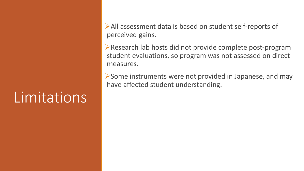# Limitations

All assessment data is based on student self-reports of perceived gains.

Research lab hosts did not provide complete post-program student evaluations, so program was not assessed on direct measures.

Some instruments were not provided in Japanese, and may have affected student understanding.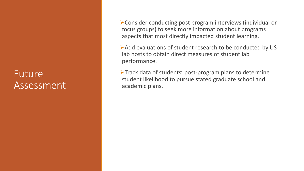#### Future Assessment

Consider conducting post program interviews (individual or focus groups) to seek more information about programs aspects that most directly impacted student learning.

Add evaluations of student research to be conducted by US lab hosts to obtain direct measures of student lab performance.

 $\triangleright$  Track data of students' post-program plans to determine student likelihood to pursue stated graduate school and academic plans.